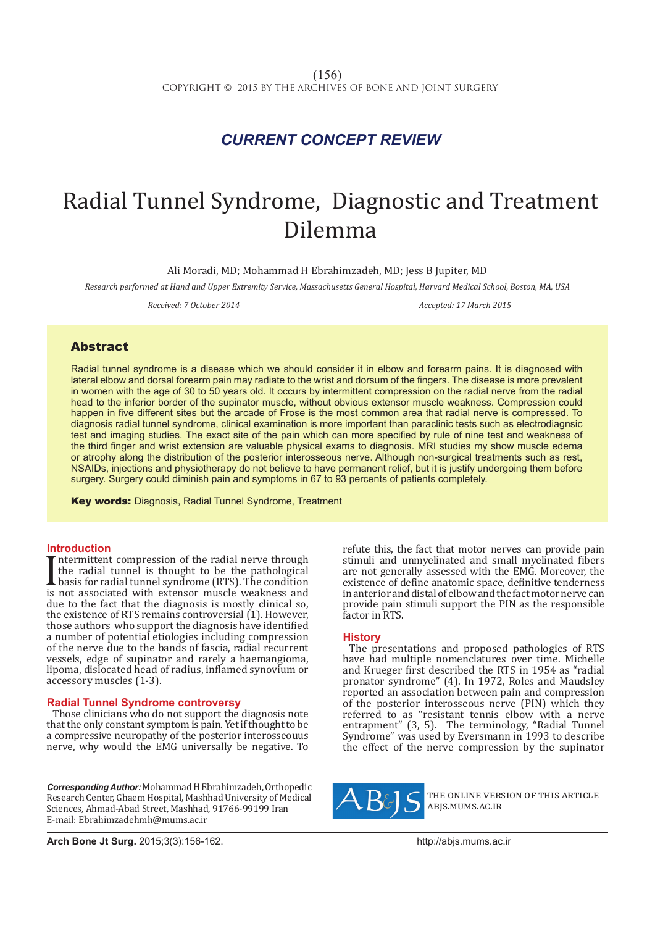## *CURRENT CONCEPT REVIEW*

# Radial Tunnel Syndrome, Diagnostic and Treatment Dilemma

Ali Moradi, MD; Mohammad H Ebrahimzadeh, MD; Jess B Jupiter, MD

*Research performed at Hand and Upper Extremity Service, Massachusetts General Hospital, Harvard Medical School, Boston, MA, USA*

*Received: 7 October 2014 Accepted: 17 March 2015*

### **Abstract**

Radial tunnel syndrome is a disease which we should consider it in elbow and forearm pains. It is diagnosed with lateral elbow and dorsal forearm pain may radiate to the wrist and dorsum of the fingers. The disease is more prevalent in women with the age of 30 to 50 years old. It occurs by intermittent compression on the radial nerve from the radial head to the inferior border of the supinator muscle, without obvious extensor muscle weakness. Compression could happen in five different sites but the arcade of Frose is the most common area that radial nerve is compressed. To diagnosis radial tunnel syndrome, clinical examination is more important than paraclinic tests such as electrodiagnsic test and imaging studies. The exact site of the pain which can more specified by rule of nine test and weakness of the third finger and wrist extension are valuable physical exams to diagnosis. MRI studies my show muscle edema or atrophy along the distribution of the posterior interosseous nerve. Although non-surgical treatments such as rest, NSAIDs, injections and physiotherapy do not believe to have permanent relief, but it is justify undergoing them before surgery. Surgery could diminish pain and symptoms in 67 to 93 percents of patients completely.

Key words: Diagnosis, Radial Tunnel Syndrome, Treatment

#### **Introduction**

The radial tunnel is thought to be the pathological<br>basis for radial tunnel syndrome (RTS). The condition<br>is not associated with extensor muscle weakness and<br>tue to the fact that the diamosis is mostly clinical so ntermittent compression of the radial nerve through the radial tunnel is thought to be the pathological basis for radial tunnel syndrome (RTS). The condition due to the fact that the diagnosis is mostly clinical so, the existence of RTS remains controversial (1). However, those authors who support the diagnosis have identified a number of potential etiologies including compression of the nerve due to the bands of fascia, radial recurrent vessels, edge of supinator and rarely a haemangioma, lipoma, dislocated head of radius, inflamed synovium or accessory muscles (1-3).

#### **Radial Tunnel Syndrome controversy**

Those clinicians who do not support the diagnosis note that the only constant symptom is pain. Yet if thought to be a compressive neuropathy of the posterior interosseouus nerve, why would the EMG universally be negative. To

*Corresponding Author:* Mohammad H Ebrahimzadeh, Orthopedic Research Center, Ghaem Hospital, Mashhad University of Medical Sciences, Ahmad-Abad Street, Mashhad, 91766-99199 Iran E-mail: Ebrahimzadehmh@mums.ac.ir

refute this, the fact that motor nerves can provide pain stimuli and unmyelinated and small myelinated fibers are not generally assessed with the EMG. Moreover, the existence of define anatomic space, definitive tenderness in anterior and distal of elbow and the fact motor nerve can provide pain stimuli support the PIN as the responsible factor in RTS.

#### **History**

The presentations and proposed pathologies of RTS have had multiple nomenclatures over time. Michelle and Krueger first described the RTS in 1954 as "radial pronator syndrome" (4). In 1972, Roles and Maudsley reported an association between pain and compression of the posterior interosseous nerve (PIN) which they referred to as "resistant tennis elbow with a nerve entrapment" (3, 5). The terminology, "Radial Tunnel Syndrome" was used by Eversmann in 1993 to describe the effect of the nerve compression by the supinator



the online version of this article abjs.mums.ac.ir

**Arch Bone Jt Surg.** 2015;3(3):156-162.http://abjs.mums.ac.ir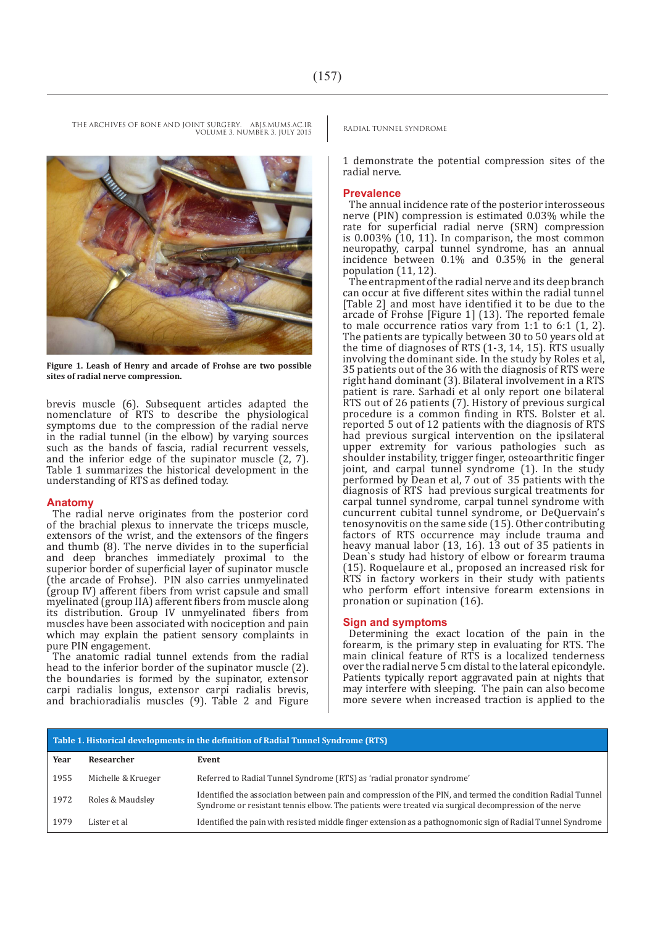

**Figure 1. Leash of Henry and arcade of Frohse are two possible sites of radial nerve compression.**

brevis muscle (6). Subsequent articles adapted the nomenclature of RTS to describe the physiological symptoms due to the compression of the radial nerve in the radial tunnel (in the elbow) by varying sources such as the bands of fascia, radial recurrent vessels, and the inferior edge of the supinator muscle (2, 7). Table 1 summarizes the historical development in the understanding of RTS as defined today.

#### **Anatomy**

The radial nerve originates from the posterior cord of the brachial plexus to innervate the triceps muscle, extensors of the wrist, and the extensors of the fingers and thumb (8). The nerve divides in to the superficial and deep branches immediately proximal to the superior border of superficial layer of supinator muscle (the arcade of Frohse). PIN also carries unmyelinated (group IV) afferent fibers from wrist capsule and small myelinated (group IIA) afferent fibers from muscle along its distribution. Group IV unmyelinated fibers from muscles have been associated with nociception and pain which may explain the patient sensory complaints in pure PIN engagement.

The anatomic radial tunnel extends from the radial head to the inferior border of the supinator muscle (2). the boundaries is formed by the supinator, extensor carpi radialis longus, extensor carpi radialis brevis, and brachioradialis muscles (9). Table 2 and Figure

1 demonstrate the potential compression sites of the radial nerve.

#### **Prevalence**

The annual incidence rate of the posterior interosseous nerve (PIN) compression is estimated 0.03% while the rate for superficial radial nerve (SRN) compression is 0.003% (10, 11). In comparison, the most common neuropathy, carpal tunnel syndrome, has an annual incidence between 0.1% and 0.35% in the general population (11, 12).

The entrapment of the radial nerve and its deep branch can occur at five different sites within the radial tunnel [Table 2] and most have identified it to be due to the arcade of Frohse [Figure 1] (13). The reported female to male occurrence ratios vary from 1:1 to 6:1 (1, 2). The patients are typically between 30 to 50 years old at the time of diagnoses of RTS (1-3, 14, 15). RTS usually involving the dominant side. In the study by Roles et al, 35 patients out of the 36 with the diagnosis of RTS were right hand dominant (3). Bilateral involvement in a RTS patient is rare. Sarhadi et al only report one bilateral RTS out of 26 patients (7). History of previous surgical procedure is a common finding in RTS. Bolster et al. reported 5 out of 12 patients with the diagnosis of RTS had previous surgical intervention on the ipsilateral upper extremity for various pathologies such as shoulder instability, trigger finger, osteoarthritic finger joint, and carpal tunnel syndrome (1). In the study performed by Dean et al, 7 out of 35 patients with the diagnosis of RTS had previous surgical treatments for carpal tunnel syndrome, carpal tunnel syndrome with cuncurrent cubital tunnel syndrome, or DeQuervain's tenosynovitis on the same side (15). Other contributing factors of RTS occurrence may include trauma and heavy manual labor (13, 16). 13 out of 35 patients in Dean`s study had history of elbow or forearm trauma (15). Roquelaure et al., proposed an increased risk for RTS in factory workers in their study with patients who perform effort intensive forearm extensions in pronation or supination (16).

#### **Sign and symptoms**

Determining the exact location of the pain in the forearm, is the primary step in evaluating for RTS. The main clinical feature of RTS is a localized tenderness over the radial nerve 5 cm distal to the lateral epicondyle. Patients typically report aggravated pain at nights that may interfere with sleeping. The pain can also become more severe when increased traction is applied to the

| Table 1. Historical developments in the definition of Radial Tunnel Syndrome (RTS) |                    |                                                                                                                                                                                                                     |  |  |
|------------------------------------------------------------------------------------|--------------------|---------------------------------------------------------------------------------------------------------------------------------------------------------------------------------------------------------------------|--|--|
| Year                                                                               | Researcher         | Event                                                                                                                                                                                                               |  |  |
| 1955                                                                               | Michelle & Krueger | Referred to Radial Tunnel Syndrome (RTS) as 'radial pronator syndrome'                                                                                                                                              |  |  |
| 1972                                                                               | Roles & Maudsley   | Identified the association between pain and compression of the PIN, and termed the condition Radial Tunnel<br>Syndrome or resistant tennis elbow. The patients were treated via surgical decompression of the nerve |  |  |
| 1979                                                                               | Lister et al       | Identified the pain with resisted middle finger extension as a pathognomonic sign of Radial Tunnel Syndrome                                                                                                         |  |  |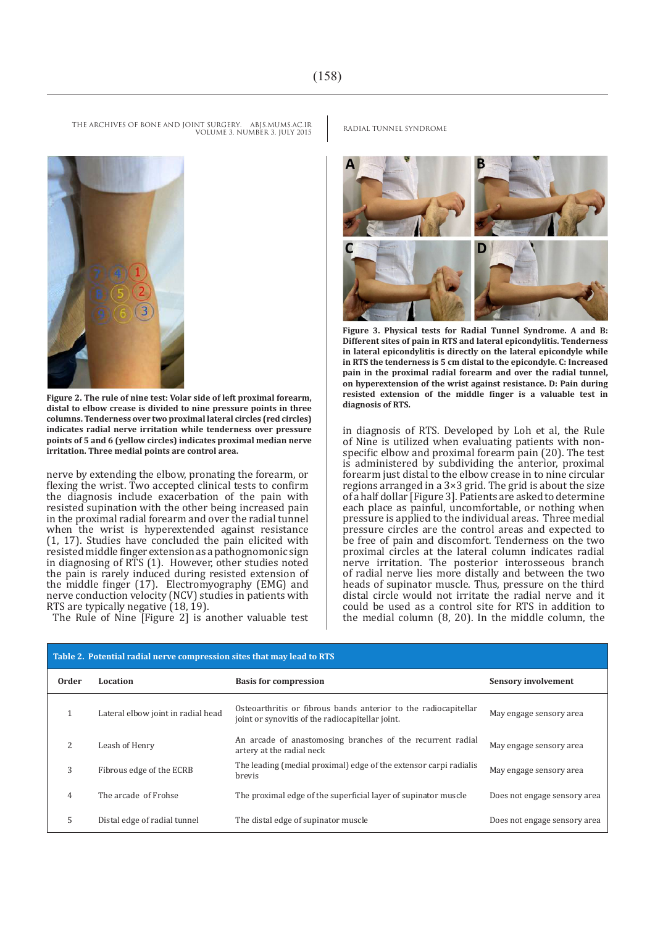

**Figure 2. The rule of nine test: Volar side of left proximal forearm, distal to elbow crease is divided to nine pressure points in three columns. Tenderness over two proximal lateral circles (red circles) indicates radial nerve irritation while tenderness over pressure points of 5 and 6 (yellow circles) indicates proximal median nerve irritation. Three medial points are control area.**

nerve by extending the elbow, pronating the forearm, or flexing the wrist. Two accepted clinical tests to confirm the diagnosis include exacerbation of the pain with resisted supination with the other being increased pain in the proximal radial forearm and over the radial tunnel when the wrist is hyperextended against resistance (1, 17). Studies have concluded the pain elicited with resisted middle finger extension as a pathognomonic sign in diagnosing of RTS (1). However, other studies noted the pain is rarely induced during resisted extension of the middle finger (17). Electromyography (EMG) and nerve conduction velocity (NCV) studies in patients with RTS are typically negative (18, 19).

The Rule of Nine [Figure 2] is another valuable test

**Figure 3. Physical tests for Radial Tunnel Syndrome. A and B: Different sites of pain in RTS and lateral epicondylitis. Tenderness in lateral epicondylitis is directly on the lateral epicondyle while in RTS the tenderness is 5 cm distal to the epicondyle. C: Increased pain in the proximal radial forearm and over the radial tunnel, on hyperextension of the wrist against resistance. D: Pain during resisted extension of the middle finger is a valuable test in diagnosis of RTS.**

in diagnosis of RTS. Developed by Loh et al, the Rule of Nine is utilized when evaluating patients with nonspecific elbow and proximal forearm pain (20). The test is administered by subdividing the anterior, proximal forearm just distal to the elbow crease in to nine circular regions arranged in a 3×3 grid. The grid is about the size of a half dollar [Figure 3]. Patients are asked to determine each place as painful, uncomfortable, or nothing when pressure is applied to the individual areas. Three medial pressure circles are the control areas and expected to be free of pain and discomfort. Tenderness on the two proximal circles at the lateral column indicates radial nerve irritation. The posterior interosseous branch of radial nerve lies more distally and between the two heads of supinator muscle. Thus, pressure on the third distal circle would not irritate the radial nerve and it could be used as a control site for RTS in addition to the medial column (8, 20). In the middle column, the

| Table 2. Potential radial nerve compression sites that may lead to RTS |                                    |                                                                                                                     |                              |  |
|------------------------------------------------------------------------|------------------------------------|---------------------------------------------------------------------------------------------------------------------|------------------------------|--|
| <b>Order</b>                                                           | Location                           | <b>Basis for compression</b>                                                                                        | <b>Sensory involvement</b>   |  |
|                                                                        | Lateral elbow joint in radial head | Osteoarthritis or fibrous bands anterior to the radiocapitellar<br>joint or synovitis of the radiocapitellar joint. | May engage sensory area      |  |
|                                                                        | Leash of Henry                     | An arcade of anastomosing branches of the recurrent radial<br>artery at the radial neck                             | May engage sensory area      |  |
| 3                                                                      | Fibrous edge of the ECRB           | The leading (medial proximal) edge of the extensor carpi radialis<br><b>brevis</b>                                  | May engage sensory area      |  |
| 4                                                                      | The arcade of Frohse               | The proximal edge of the superficial layer of supinator muscle                                                      | Does not engage sensory area |  |
| 5                                                                      | Distal edge of radial tunnel       | The distal edge of supinator muscle                                                                                 | Does not engage sensory area |  |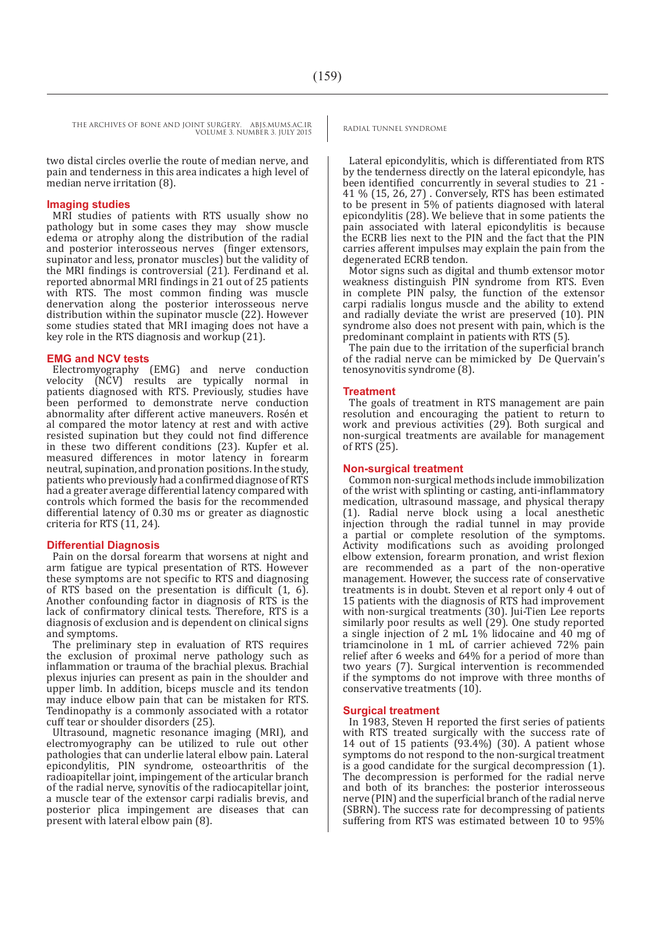two distal circles overlie the route of median nerve, and pain and tenderness in this area indicates a high level of median nerve irritation (8).

#### **Imaging studies**

MRI studies of patients with RTS usually show no pathology but in some cases they may show muscle edema or atrophy along the distribution of the radial and posterior interosseous nerves (finger extensors, supinator and less, pronator muscles) but the validity of the MRI findings is controversial (21). Ferdinand et al. reported abnormal MRI findings in 21 out of 25 patients with RTS. The most common finding was muscle denervation along the posterior interosseous nerve distribution within the supinator muscle (22). However some studies stated that MRI imaging does not have a key role in the RTS diagnosis and workup (21).

#### **EMG and NCV tests**

Electromyography (EMG) and nerve conduction velocity (NCV) results are typically normal in patients diagnosed with RTS. Previously, studies have been performed to demonstrate nerve conduction abnormality after different active maneuvers. Rosén et al compared the motor latency at rest and with active resisted supination but they could not find difference in these two different conditions (23). Kupfer et al. measured differences in motor latency in forearm neutral, supination, and pronation positions. In the study, patients who previously had a confirmed diagnose of RTS had a greater average differential latency compared with controls which formed the basis for the recommended differential latency of 0.30 ms or greater as diagnostic criteria for RTS (11, 24).

#### **Differential Diagnosis**

Pain on the dorsal forearm that worsens at night and arm fatigue are typical presentation of RTS. However these symptoms are not specific to RTS and diagnosing of RTS based on the presentation is difficult (1, 6). Another confounding factor in diagnosis of RTS is the lack of confirmatory clinical tests. Therefore, RTS is a diagnosis of exclusion and is dependent on clinical signs and symptoms.

The preliminary step in evaluation of RTS requires the exclusion of proximal nerve pathology such as inflammation or trauma of the brachial plexus. Brachial plexus injuries can present as pain in the shoulder and upper limb. In addition, biceps muscle and its tendon may induce elbow pain that can be mistaken for RTS. Tendinopathy is a commonly associated with a rotator cuff tear or shoulder disorders (25).

Ultrasound, magnetic resonance imaging (MRI), and electromyography can be utilized to rule out other pathologies that can underlie lateral elbow pain. Lateral epicondylitis, PIN syndrome, osteoarthritis of the radioapitellar joint, impingement of the articular branch of the radial nerve, synovitis of the radiocapitellar joint, a muscle tear of the extensor carpi radialis brevis, and posterior plica impingement are diseases that can present with lateral elbow pain (8).

Lateral epicondylitis, which is differentiated from RTS by the tenderness directly on the lateral epicondyle, has been identified concurrently in several studies to 21 - 41 % (15, 26, 27) . Conversely, RTS has been estimated to be present in 5% of patients diagnosed with lateral epicondylitis (28). We believe that in some patients the pain associated with lateral epicondylitis is because the ECRB lies next to the PIN and the fact that the PIN carries afferent impulses may explain the pain from the degenerated ECRB tendon.

Motor signs such as digital and thumb extensor motor weakness distinguish PIN syndrome from RTS. Even in complete PIN palsy, the function of the extensor carpi radialis longus muscle and the ability to extend and radially deviate the wrist are preserved (10). PIN syndrome also does not present with pain, which is the predominant complaint in patients with RTS (5).

The pain due to the irritation of the superficial branch of the radial nerve can be mimicked by De Quervain's tenosynovitis syndrome (8).

#### **Treatment**

The goals of treatment in RTS management are pain resolution and encouraging the patient to return to work and previous activities (29). Both surgical and non-surgical treatments are available for management of RTS (25).

#### **Non-surgical treatment**

Common non-surgical methods include immobilization of the wrist with splinting or casting, anti-inflammatory medication, ultrasound massage, and physical therapy (1). Radial nerve block using a local anesthetic injection through the radial tunnel in may provide a partial or complete resolution of the symptoms. Activity modifications such as avoiding prolonged elbow extension, forearm pronation, and wrist flexion are recommended as a part of the non-operative management. However, the success rate of conservative treatments is in doubt. Steven et al report only 4 out of 15 patients with the diagnosis of RTS had improvement with non-surgical treatments (30). Jui-Tien Lee reports similarly poor results as well (29). One study reported a single injection of 2 mL 1% lidocaine and 40 mg of triamcinolone in 1 mL of carrier achieved 72% pain relief after 6 weeks and 64% for a period of more than two years (7). Surgical intervention is recommended if the symptoms do not improve with three months of conservative treatments (10).

#### **Surgical treatment**

In 1983, Steven H reported the first series of patients with RTS treated surgically with the success rate of 14 out of 15 patients (93.4%) (30). A patient whose symptoms do not respond to the non-surgical treatment is a good candidate for the surgical decompression (1). The decompression is performed for the radial nerve and both of its branches: the posterior interosseous nerve (PIN) and the superficial branch of the radial nerve (SBRN). The success rate for decompressing of patients suffering from RTS was estimated between 10 to 95%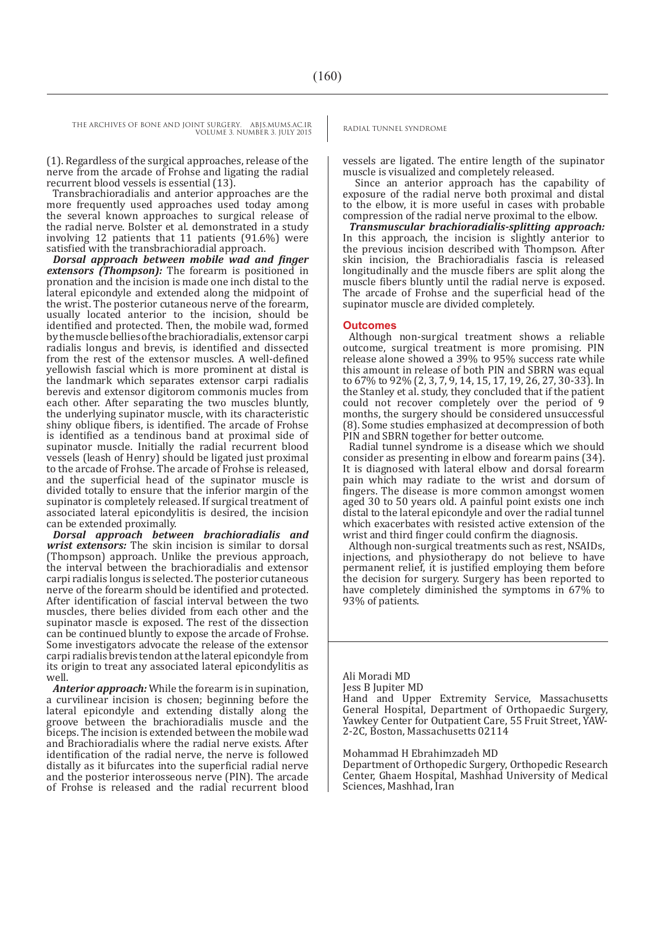VOLUME 3. NUMBER 3. JULY 2015

(1). Regardless of the surgical approaches, release of the nerve from the arcade of Frohse and ligating the radial recurrent blood vessels is essential (13).

Transbrachioradialis and anterior approaches are the more frequently used approaches used today among the several known approaches to surgical release of the radial nerve. Bolster et al. demonstrated in a study involving 12 patients that 11 patients (91.6%) were satisfied with the transbrachioradial approach.

*Dorsal approach between mobile wad and finger extensors (Thompson):* The forearm is positioned in pronation and the incision is made one inch distal to the lateral epicondyle and extended along the midpoint of the wrist. The posterior cutaneous nerve of the forearm, usually located anterior to the incision, should be identified and protected. Then, the mobile wad, formed by the muscle bellies of the brachioradialis, extensor carpi radialis longus and brevis, is identified and dissected from the rest of the extensor muscles. A well-defined yellowish fascial which is more prominent at distal is the landmark which separates extensor carpi radialis berevis and extensor digitorom commonis mucles from each other. After separating the two muscles bluntly, the underlying supinator muscle, with its characteristic shiny oblique fibers, is identified. The arcade of Frohse is identified as a tendinous band at proximal side of supinator muscle. Initially the radial recurrent blood vessels (leash of Henry) should be ligated just proximal to the arcade of Frohse. The arcade of Frohse is released, and the superficial head of the supinator muscle is divided totally to ensure that the inferior margin of the supinator is completely released. If surgical treatment of associated lateral epicondylitis is desired, the incision can be extended proximally.

*Dorsal approach between brachioradialis and wrist extensors:* The skin incision is similar to dorsal (Thompson) approach. Unlike the previous approach, the interval between the brachioradialis and extensor carpi radialis longus is selected. The posterior cutaneous nerve of the forearm should be identified and protected. After identification of fascial interval between the two muscles, there belies divided from each other and the supinator mascle is exposed. The rest of the dissection can be continued bluntly to expose the arcade of Frohse. Some investigators advocate the release of the extensor carpi radialis brevis tendon at the lateral epicondyle from its origin to treat any associated lateral epicondylitis as well.

*Anterior approach:* While the forearm is in supination, a curvilinear incision is chosen; beginning before the lateral epicondyle and extending distally along the groove between the brachioradialis muscle and the biceps. The incision is extended between the mobile wad and Brachioradialis where the radial nerve exists. After identification of the radial nerve, the nerve is followed distally as it bifurcates into the superficial radial nerve and the posterior interosseous nerve (PIN). The arcade of Frohse is released and the radial recurrent blood

vessels are ligated. The entire length of the supinator muscle is visualized and completely released.

 Since an anterior approach has the capability of exposure of the radial nerve both proximal and distal to the elbow, it is more useful in cases with probable compression of the radial nerve proximal to the elbow.

*Transmuscular brachioradialis-splitting approach:*  In this approach, the incision is slightly anterior to the previous incision described with Thompson. After skin incision, the Brachioradialis fascia is released longitudinally and the muscle fibers are split along the muscle fibers bluntly until the radial nerve is exposed. The arcade of Frohse and the superficial head of the supinator muscle are divided completely.

#### **Outcomes**

Although non-surgical treatment shows a reliable outcome, surgical treatment is more promising. PIN release alone showed a 39% to 95% success rate while this amount in release of both PIN and SBRN was equal to 67% to 92% (2, 3, 7, 9, 14, 15, 17, 19, 26, 27, 30-33). In the Stanley et al. study, they concluded that if the patient could not recover completely over the period of 9 months, the surgery should be considered unsuccessful (8). Some studies emphasized at decompression of both PIN and SBRN together for better outcome.

Radial tunnel syndrome is a disease which we should consider as presenting in elbow and forearm pains (34). It is diagnosed with lateral elbow and dorsal forearm pain which may radiate to the wrist and dorsum of fingers. The disease is more common amongst women aged 30 to 50 years old. A painful point exists one inch distal to the lateral epicondyle and over the radial tunnel which exacerbates with resisted active extension of the wrist and third finger could confirm the diagnosis.

Although non-surgical treatments such as rest, NSAIDs, injections, and physiotherapy do not believe to have permanent relief, it is justified employing them before the decision for surgery. Surgery has been reported to have completely diminished the symptoms in 67% to 93% of patients.

Ali Moradi MD

Jess B Jupiter MD

Hand and Upper Extremity Service, Massachusetts General Hospital, Department of Orthopaedic Surgery, Yawkey Center for Outpatient Care, 55 Fruit Street, YAW-2-2C, Boston, Massachusetts 02114

#### Mohammad H Ebrahimzadeh MD

Department of Orthopedic Surgery, Orthopedic Research Center, Ghaem Hospital, Mashhad University of Medical Sciences, Mashhad, Iran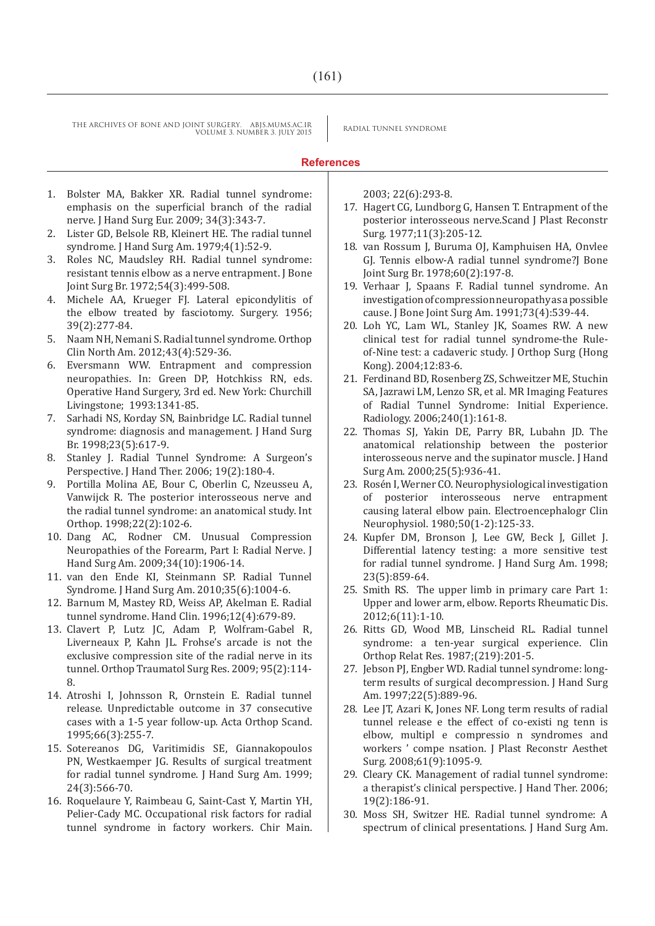#### **References**

- 1. Bolster MA, Bakker XR. Radial tunnel syndrome: emphasis on the superficial branch of the radial nerve. J Hand Surg Eur. 2009; 34(3):343-7.
- 2. Lister GD, Belsole RB, Kleinert HE. The radial tunnel syndrome. J Hand Surg Am. 1979;4(1):52-9.
- 3. Roles NC, Maudsley RH. Radial tunnel syndrome: resistant tennis elbow as a nerve entrapment. J Bone Joint Surg Br. 1972;54(3):499-508.
- 4. Michele AA, Krueger FJ. Lateral epicondylitis of the elbow treated by fasciotomy. Surgery. 1956; 39(2):277-84.
- 5. Naam NH, Nemani S. Radial tunnel syndrome. Orthop Clin North Am. 2012;43(4):529-36.
- 6. Eversmann WW. Entrapment and compression neuropathies. In: Green DP, Hotchkiss RN, eds. Operative Hand Surgery, 3rd ed. New York: Churchill Livingstone; 1993:1341-85.
- 7. Sarhadi NS, Korday SN, Bainbridge LC. Radial tunnel syndrome: diagnosis and management. J Hand Surg Br. 1998;23(5):617-9.
- 8. Stanley J. Radial Tunnel Syndrome: A Surgeon's Perspective. J Hand Ther. 2006; 19(2):180-4.
- 9. Portilla Molina AE, Bour C, Oberlin C, Nzeusseu A, Vanwijck R. The posterior interosseous nerve and the radial tunnel syndrome: an anatomical study. Int Orthop. 1998;22(2):102-6.
- 10. Dang AC, Rodner CM. Unusual Compression Neuropathies of the Forearm, Part I: Radial Nerve. J Hand Surg Am. 2009;34(10):1906-14.
- 11. van den Ende KI, Steinmann SP. Radial Tunnel Syndrome. J Hand Surg Am. 2010;35(6):1004-6.
- 12. Barnum M, Mastey RD, Weiss AP, Akelman E. Radial tunnel syndrome. Hand Clin. 1996;12(4):679-89.
- 13. Clavert P, Lutz JC, Adam P, Wolfram-Gabel R, Liverneaux P, Kahn JL. Frohse's arcade is not the exclusive compression site of the radial nerve in its tunnel. Orthop Traumatol Surg Res. 2009; 95(2):114- 8.
- 14. Atroshi I, Johnsson R, Ornstein E. Radial tunnel release. Unpredictable outcome in 37 consecutive cases with a 1-5 year follow-up. Acta Orthop Scand. 1995;66(3):255-7.
- 15. Sotereanos DG, Varitimidis SE, Giannakopoulos PN, Westkaemper JG. Results of surgical treatment for radial tunnel syndrome. J Hand Surg Am. 1999; 24(3):566-70.
- 16. Roquelaure Y, Raimbeau G, Saint-Cast Y, Martin YH, Pelier-Cady MC. Occupational risk factors for radial tunnel syndrome in factory workers. Chir Main.

2003; 22(6):293-8.

- 17. Hagert CG, Lundborg G, Hansen T. Entrapment of the posterior interosseous nerve.Scand J Plast Reconstr Surg. 1977;11(3):205-12.
- 18. van Rossum J, Buruma OJ, Kamphuisen HA, Onvlee GJ. Tennis elbow-A radial tunnel syndrome?J Bone Joint Surg Br. 1978;60(2):197-8.
- 19. Verhaar J, Spaans F. Radial tunnel syndrome. An investigation of compression neuropathy as a possible cause. J Bone Joint Surg Am. 1991;73(4):539-44.
- 20. Loh YC, Lam WL, Stanley JK, Soames RW. A new clinical test for radial tunnel syndrome-the Ruleof-Nine test: a cadaveric study. J Orthop Surg (Hong Kong). 2004;12:83-6.
- 21. Ferdinand BD, Rosenberg ZS, Schweitzer ME, Stuchin SA, Jazrawi LM, Lenzo SR, et al. MR Imaging Features of Radial Tunnel Syndrome: Initial Experience. Radiology. 2006;240(1):161-8.
- 22. Thomas SJ, Yakin DE, Parry BR, Lubahn JD. The anatomical relationship between the posterior interosseous nerve and the supinator muscle. J Hand Surg Am. 2000;25(5):936-41.
- 23. Rosén I, Werner CO. Neurophysiological investigation of posterior interosseous nerve entrapment causing lateral elbow pain. Electroencephalogr Clin Neurophysiol. 1980;50(1-2):125-33.
- 24. Kupfer DM, Bronson J, Lee GW, Beck J, Gillet J. Differential latency testing: a more sensitive test for radial tunnel syndrome. J Hand Surg Am. 1998; 23(5):859-64.
- 25. Smith RS. The upper limb in primary care Part 1: Upper and lower arm, elbow. Reports Rheumatic Dis. 2012;6(11):1-10.
- 26. Ritts GD, Wood MB, Linscheid RL. Radial tunnel syndrome: a ten-year surgical experience. Clin Orthop Relat Res. 1987;(219):201-5.
- 27. Jebson PJ, Engber WD. Radial tunnel syndrome: longterm results of surgical decompression. J Hand Surg Am. 1997;22(5):889-96.
- 28. Lee JT, Azari K, Jones NF. Long term results of radial tunnel release e the effect of co-existi ng tenn is elbow, multipl e compressio n syndromes and workers ' compe nsation. J Plast Reconstr Aesthet Surg. 2008;61(9):1095-9.
- 29. Cleary CK. Management of radial tunnel syndrome: a therapist's clinical perspective. J Hand Ther. 2006; 19(2):186-91.
- 30. Moss SH, Switzer HE. Radial tunnel syndrome: A spectrum of clinical presentations. J Hand Surg Am.